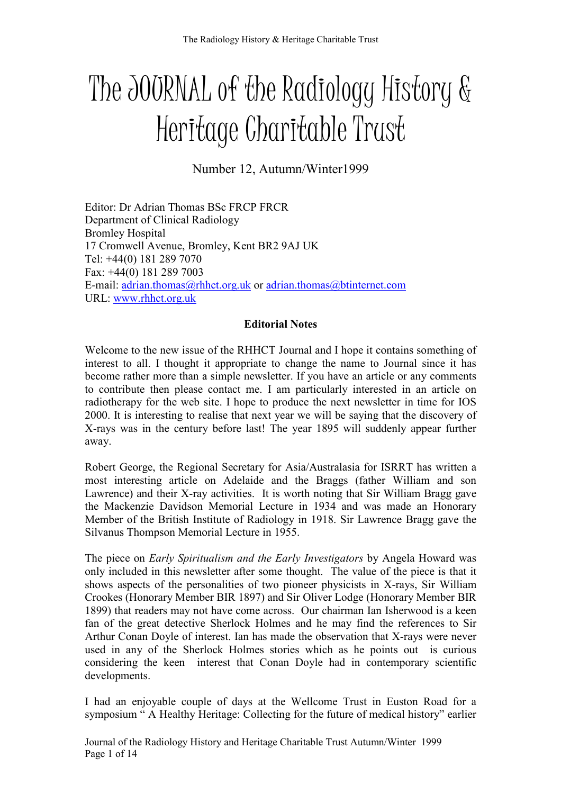# The JOURNAL of the Radiology History & Heritage Charitable Trust

Number 12, Autumn/Winter1999

Editor: Dr Adrian Thomas BSc FRCP FRCR Department of Clinical Radiology Bromley Hospital 17 Cromwell Avenue, Bromley, Kent BR2 9AJ UK Tel: +44(0) 181 289 7070 Fax: +44(0) 181 289 7003 E-mail: adrian.thomas@rhhct.org.uk or adrian.thomas@btinternet.com URL: www.rhhct.org.uk

## **Editorial Notes**

Welcome to the new issue of the RHHCT Journal and I hope it contains something of interest to all. I thought it appropriate to change the name to Journal since it has become rather more than a simple newsletter. If you have an article or any comments to contribute then please contact me. I am particularly interested in an article on radiotherapy for the web site. I hope to produce the next newsletter in time for IOS 2000. It is interesting to realise that next year we will be saying that the discovery of X-rays was in the century before last! The year 1895 will suddenly appear further away.

Robert George, the Regional Secretary for Asia/Australasia for ISRRT has written a most interesting article on Adelaide and the Braggs (father William and son Lawrence) and their X-ray activities. It is worth noting that Sir William Bragg gave the Mackenzie Davidson Memorial Lecture in 1934 and was made an Honorary Member of the British Institute of Radiology in 1918. Sir Lawrence Bragg gave the Silvanus Thompson Memorial Lecture in 1955.

The piece on *Early Spiritualism and the Early Investigators* by Angela Howard was only included in this newsletter after some thought. The value of the piece is that it shows aspects of the personalities of two pioneer physicists in X-rays, Sir William Crookes (Honorary Member BIR 1897) and Sir Oliver Lodge (Honorary Member BIR 1899) that readers may not have come across. Our chairman Ian Isherwood is a keen fan of the great detective Sherlock Holmes and he may find the references to Sir Arthur Conan Doyle of interest. Ian has made the observation that X-rays were never used in any of the Sherlock Holmes stories which as he points out is curious considering the keen interest that Conan Doyle had in contemporary scientific developments.

I had an enjoyable couple of days at the Wellcome Trust in Euston Road for a symposium " A Healthy Heritage: Collecting for the future of medical history" earlier

Journal of the Radiology History and Heritage Charitable Trust Autumn/Winter 1999 Page 1 of 14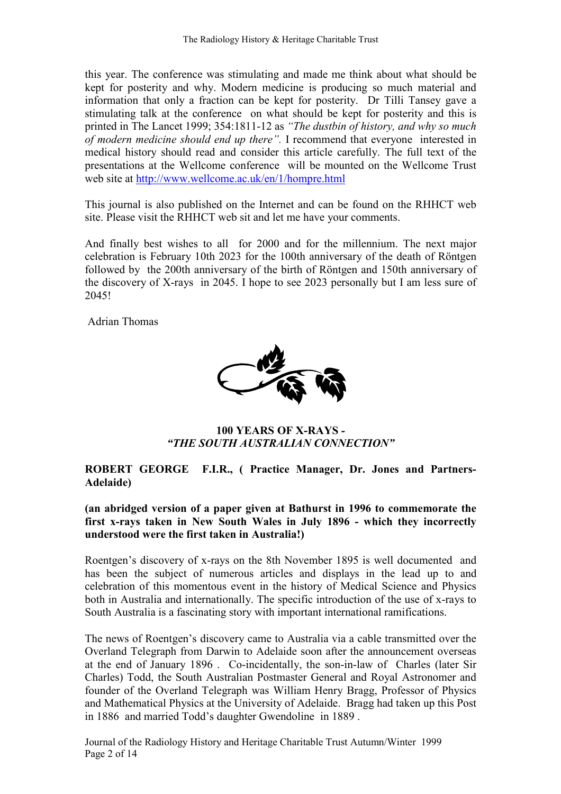this year. The conference was stimulating and made me think about what should be kept for posterity and why. Modern medicine is producing so much material and information that only a fraction can be kept for posterity. Dr Tilli Tansey gave a stimulating talk at the conference on what should be kept for posterity and this is printed in The Lancet 1999; 354:1811-12 as "The dustbin of history, and why so much of modern medicine should end up there". I recommend that everyone interested in medical history should read and consider this article carefully. The full text of the presentations at the Wellcome conference will be mounted on the Wellcome Trust web site at http://www.wellcome.ac.uk/en/1/hompre.html

This journal is also published on the Internet and can be found on the RHHCT web site. Please visit the RHHCT web sit and let me have your comments.

And finally best wishes to all for 2000 and for the millennium. The next major celebration is February 10th 2023 for the 100th anniversary of the death of Röntgen followed by the 200th anniversary of the birth of Röntgen and 150th anniversary of the discovery of X-rays in 2045. I hope to see 2023 personally but I am less sure of 2045!

Adrian Thomas



100 YEARS OF X-RAYS - "THE SOUTH AUSTRALIAN CONNECTION"

### ROBERT GEORGE F.I.R., ( Practice Manager, Dr. Jones and Partners-Adelaide)

(an abridged version of a paper given at Bathurst in 1996 to commemorate the first x-rays taken in New South Wales in July 1896 - which they incorrectly understood were the first taken in Australia!)

Roentgen's discovery of x-rays on the 8th November 1895 is well documented and has been the subject of numerous articles and displays in the lead up to and celebration of this momentous event in the history of Medical Science and Physics both in Australia and internationally. The specific introduction of the use of x-rays to South Australia is a fascinating story with important international ramifications.

The news of Roentgen's discovery came to Australia via a cable transmitted over the Overland Telegraph from Darwin to Adelaide soon after the announcement overseas at the end of January 1896 . Co-incidentally, the son-in-law of Charles (later Sir Charles) Todd, the South Australian Postmaster General and Royal Astronomer and founder of the Overland Telegraph was William Henry Bragg, Professor of Physics and Mathematical Physics at the University of Adelaide. Bragg had taken up this Post in 1886 and married Todd's daughter Gwendoline in 1889 .

Journal of the Radiology History and Heritage Charitable Trust Autumn/Winter 1999 Page 2 of 14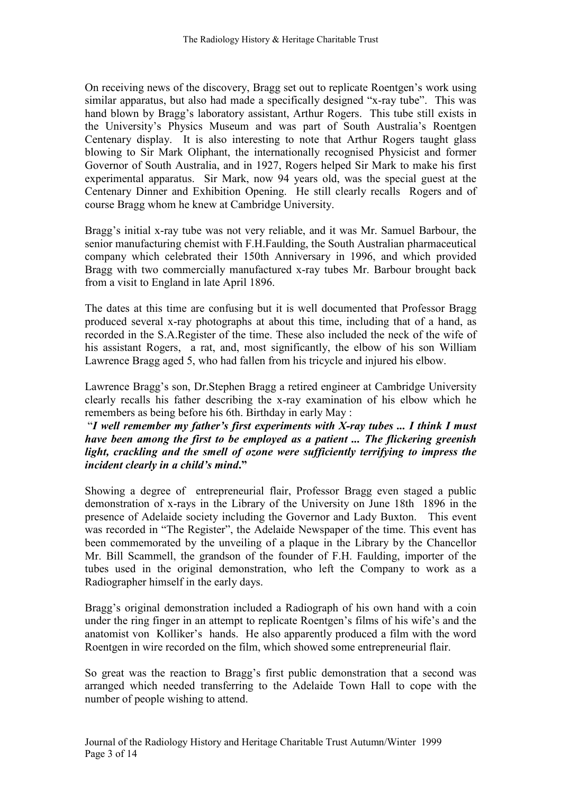On receiving news of the discovery, Bragg set out to replicate Roentgen's work using similar apparatus, but also had made a specifically designed "x-ray tube". This was hand blown by Bragg's laboratory assistant, Arthur Rogers. This tube still exists in the University's Physics Museum and was part of South Australia's Roentgen Centenary display. It is also interesting to note that Arthur Rogers taught glass blowing to Sir Mark Oliphant, the internationally recognised Physicist and former Governor of South Australia, and in 1927, Rogers helped Sir Mark to make his first experimental apparatus. Sir Mark, now 94 years old, was the special guest at the Centenary Dinner and Exhibition Opening. He still clearly recalls Rogers and of course Bragg whom he knew at Cambridge University.

Bragg's initial x-ray tube was not very reliable, and it was Mr. Samuel Barbour, the senior manufacturing chemist with F.H.Faulding, the South Australian pharmaceutical company which celebrated their 150th Anniversary in 1996, and which provided Bragg with two commercially manufactured x-ray tubes Mr. Barbour brought back from a visit to England in late April 1896.

The dates at this time are confusing but it is well documented that Professor Bragg produced several x-ray photographs at about this time, including that of a hand, as recorded in the S.A.Register of the time. These also included the neck of the wife of his assistant Rogers, a rat, and, most significantly, the elbow of his son William Lawrence Bragg aged 5, who had fallen from his tricycle and injured his elbow.

Lawrence Bragg's son, Dr.Stephen Bragg a retired engineer at Cambridge University clearly recalls his father describing the x-ray examination of his elbow which he remembers as being before his 6th. Birthday in early May :

"I well remember my father's first experiments with  $X$ -ray tubes ... I think I must have been among the first to be employed as a patient ... The flickering greenish light, crackling and the smell of ozone were sufficiently terrifying to impress the incident clearly in a child's mind."

Showing a degree of entrepreneurial flair, Professor Bragg even staged a public demonstration of x-rays in the Library of the University on June 18th 1896 in the presence of Adelaide society including the Governor and Lady Buxton. This event was recorded in "The Register", the Adelaide Newspaper of the time. This event has been commemorated by the unveiling of a plaque in the Library by the Chancellor Mr. Bill Scammell, the grandson of the founder of F.H. Faulding, importer of the tubes used in the original demonstration, who left the Company to work as a Radiographer himself in the early days.

Bragg's original demonstration included a Radiograph of his own hand with a coin under the ring finger in an attempt to replicate Roentgen's films of his wife's and the anatomist von Kolliker's hands. He also apparently produced a film with the word Roentgen in wire recorded on the film, which showed some entrepreneurial flair.

So great was the reaction to Bragg's first public demonstration that a second was arranged which needed transferring to the Adelaide Town Hall to cope with the number of people wishing to attend.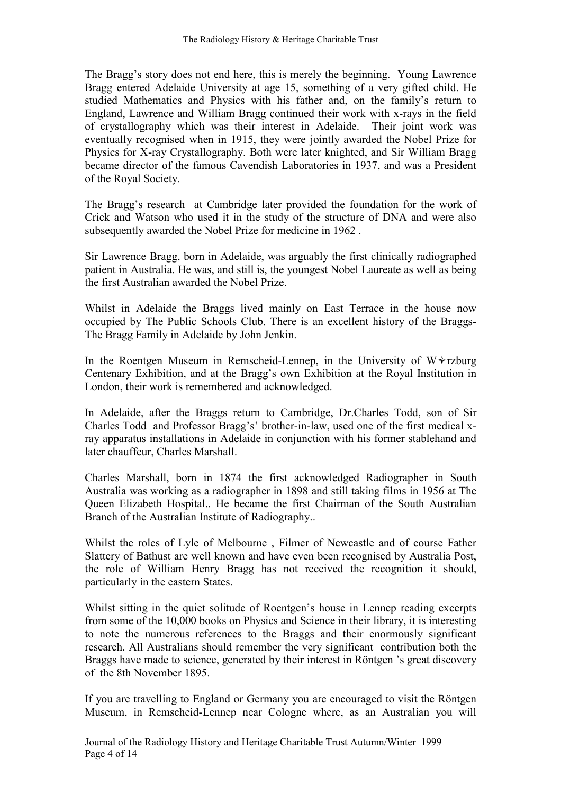The Bragg's story does not end here, this is merely the beginning. Young Lawrence Bragg entered Adelaide University at age 15, something of a very gifted child. He studied Mathematics and Physics with his father and, on the family's return to England, Lawrence and William Bragg continued their work with x-rays in the field of crystallography which was their interest in Adelaide. Their joint work was eventually recognised when in 1915, they were jointly awarded the Nobel Prize for Physics for X-ray Crystallography. Both were later knighted, and Sir William Bragg became director of the famous Cavendish Laboratories in 1937, and was a President of the Royal Society.

The Bragg's research at Cambridge later provided the foundation for the work of Crick and Watson who used it in the study of the structure of DNA and were also subsequently awarded the Nobel Prize for medicine in 1962 .

Sir Lawrence Bragg, born in Adelaide, was arguably the first clinically radiographed patient in Australia. He was, and still is, the youngest Nobel Laureate as well as being the first Australian awarded the Nobel Prize.

Whilst in Adelaide the Braggs lived mainly on East Terrace in the house now occupied by The Public Schools Club. There is an excellent history of the Braggs-The Bragg Family in Adelaide by John Jenkin.

In the Roentgen Museum in Remscheid-Lennep, in the University of  $W*$ rzburg Centenary Exhibition, and at the Bragg's own Exhibition at the Royal Institution in London, their work is remembered and acknowledged.

In Adelaide, after the Braggs return to Cambridge, Dr.Charles Todd, son of Sir Charles Todd and Professor Bragg's' brother-in-law, used one of the first medical xray apparatus installations in Adelaide in conjunction with his former stablehand and later chauffeur, Charles Marshall.

Charles Marshall, born in 1874 the first acknowledged Radiographer in South Australia was working as a radiographer in 1898 and still taking films in 1956 at The Queen Elizabeth Hospital.. He became the first Chairman of the South Australian Branch of the Australian Institute of Radiography..

Whilst the roles of Lyle of Melbourne , Filmer of Newcastle and of course Father Slattery of Bathust are well known and have even been recognised by Australia Post, the role of William Henry Bragg has not received the recognition it should, particularly in the eastern States.

Whilst sitting in the quiet solitude of Roentgen's house in Lennep reading excerpts from some of the 10,000 books on Physics and Science in their library, it is interesting to note the numerous references to the Braggs and their enormously significant research. All Australians should remember the very significant contribution both the Braggs have made to science, generated by their interest in Röntgen 's great discovery of the 8th November 1895.

If you are travelling to England or Germany you are encouraged to visit the Röntgen Museum, in Remscheid-Lennep near Cologne where, as an Australian you will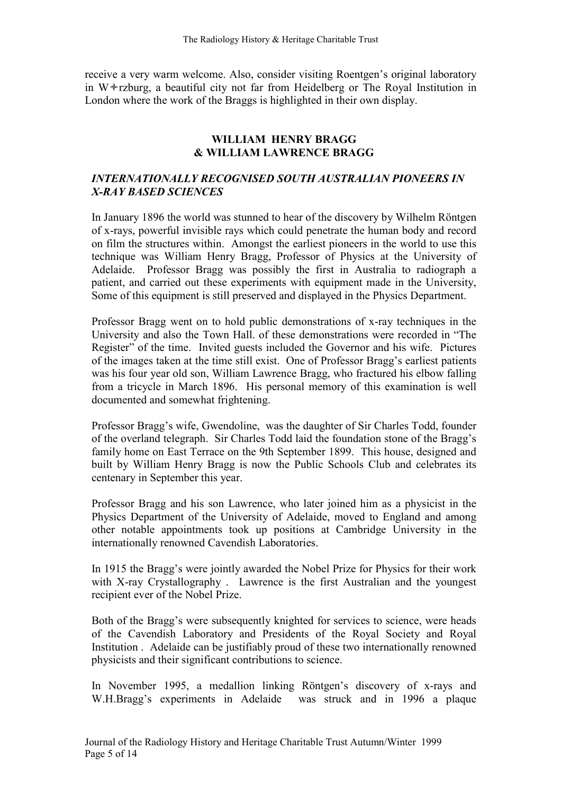receive a very warm welcome. Also, consider visiting Roentgen's original laboratory in W $*$ rzburg, a beautiful city not far from Heidelberg or The Royal Institution in London where the work of the Braggs is highlighted in their own display.

### WILLIAM HENRY BRAGG & WILLIAM LAWRE CE BRAGG

#### INTERNATIONALLY RECOGNISED SOUTH AUSTRALIAN PIONEERS IN **X-RAY BASED SCIENCES**

In January 1896 the world was stunned to hear of the discovery by Wilhelm Röntgen of x-rays, powerful invisible rays which could penetrate the human body and record on film the structures within. Amongst the earliest pioneers in the world to use this technique was William Henry Bragg, Professor of Physics at the University of Adelaide. Professor Bragg was possibly the first in Australia to radiograph a patient, and carried out these experiments with equipment made in the University, Some of this equipment is still preserved and displayed in the Physics Department.

Professor Bragg went on to hold public demonstrations of x-ray techniques in the University and also the Town Hall. of these demonstrations were recorded in "The Register" of the time. Invited guests included the Governor and his wife. Pictures of the images taken at the time still exist. One of Professor Bragg's earliest patients was his four year old son, William Lawrence Bragg, who fractured his elbow falling from a tricycle in March 1896. His personal memory of this examination is well documented and somewhat frightening.

Professor Bragg's wife, Gwendoline, was the daughter of Sir Charles Todd, founder of the overland telegraph. Sir Charles Todd laid the foundation stone of the Bragg's family home on East Terrace on the 9th September 1899. This house, designed and built by William Henry Bragg is now the Public Schools Club and celebrates its centenary in September this year.

Professor Bragg and his son Lawrence, who later joined him as a physicist in the Physics Department of the University of Adelaide, moved to England and among other notable appointments took up positions at Cambridge University in the internationally renowned Cavendish Laboratories.

In 1915 the Bragg's were jointly awarded the Nobel Prize for Physics for their work with X-ray Crystallography . Lawrence is the first Australian and the youngest recipient ever of the Nobel Prize.

Both of the Bragg's were subsequently knighted for services to science, were heads of the Cavendish Laboratory and Presidents of the Royal Society and Royal Institution . Adelaide can be justifiably proud of these two internationally renowned physicists and their significant contributions to science.

In November 1995, a medallion linking Röntgen's discovery of x-rays and W.H.Bragg's experiments in Adelaide was struck and in 1996 a plaque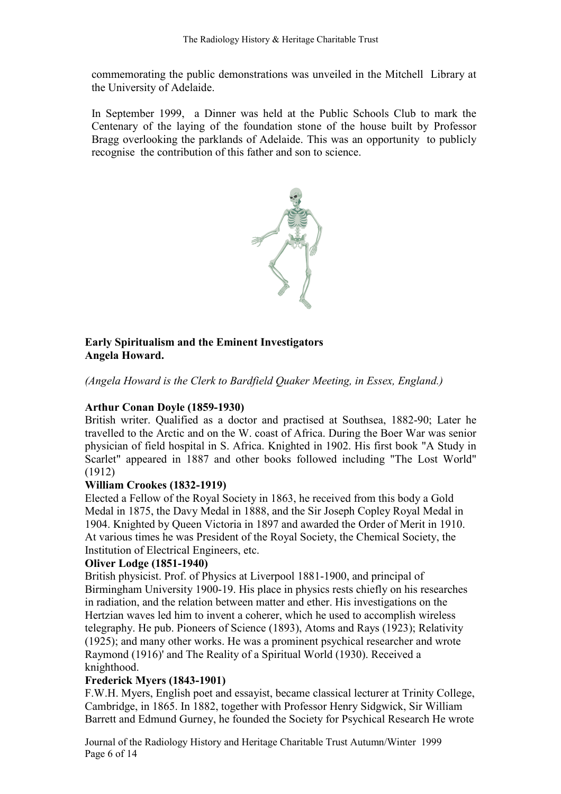commemorating the public demonstrations was unveiled in the Mitchell Library at the University of Adelaide.

In September 1999, a Dinner was held at the Public Schools Club to mark the Centenary of the laying of the foundation stone of the house built by Professor Bragg overlooking the parklands of Adelaide. This was an opportunity to publicly recognise the contribution of this father and son to science.



## Early Spiritualism and the Eminent Investigators Angela Howard.

(Angela Howard is the Clerk to Bardfield Quaker Meeting, in Essex, England.)

### Arthur Conan Doyle (1859-1930)

British writer. Qualified as a doctor and practised at Southsea, 1882-90; Later he travelled to the Arctic and on the W. coast of Africa. During the Boer War was senior physician of field hospital in S. Africa. Knighted in 1902. His first book "A Study in Scarlet" appeared in 1887 and other books followed including "The Lost World" (1912)

### William Crookes (1832-1919)

Elected a Fellow of the Royal Society in 1863, he received from this body a Gold Medal in 1875, the Davy Medal in 1888, and the Sir Joseph Copley Royal Medal in 1904. Knighted by Queen Victoria in 1897 and awarded the Order of Merit in 1910. At various times he was President of the Royal Society, the Chemical Society, the Institution of Electrical Engineers, etc.

### Oliver Lodge (1851-1940)

British physicist. Prof. of Physics at Liverpool 1881-1900, and principal of Birmingham University 1900-19. His place in physics rests chiefly on his researches in radiation, and the relation between matter and ether. His investigations on the Hertzian waves led him to invent a coherer, which he used to accomplish wireless telegraphy. He pub. Pioneers of Science (1893), Atoms and Rays (1923); Relativity (1925); and many other works. He was a prominent psychical researcher and wrote Raymond (1916)' and The Reality of a Spiritual World (1930). Received a knighthood.

### Frederick Myers (1843-1901)

F.W.H. Myers, English poet and essayist, became classical lecturer at Trinity College, Cambridge, in 1865. In 1882, together with Professor Henry Sidgwick, Sir William Barrett and Edmund Gurney, he founded the Society for Psychical Research He wrote

Journal of the Radiology History and Heritage Charitable Trust Autumn/Winter 1999 Page 6 of 14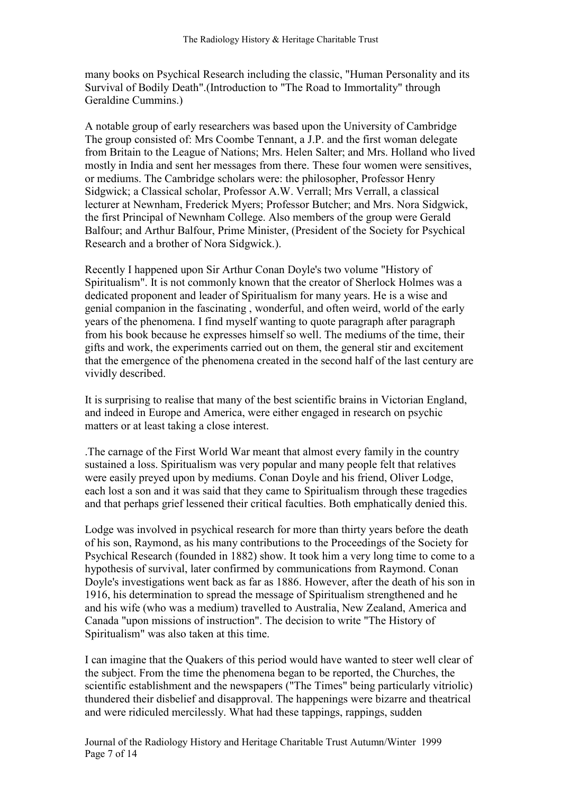many books on Psychical Research including the classic, "Human Personality and its Survival of Bodily Death".(Introduction to "The Road to Immortality" through Geraldine Cummins.)

A notable group of early researchers was based upon the University of Cambridge The group consisted of: Mrs Coombe Tennant, a J.P. and the first woman delegate from Britain to the League of Nations; Mrs. Helen Salter; and Mrs. Holland who lived mostly in India and sent her messages from there. These four women were sensitives, or mediums. The Cambridge scholars were: the philosopher, Professor Henry Sidgwick; a Classical scholar, Professor A.W. Verrall; Mrs Verrall, a classical lecturer at Newnham, Frederick Myers; Professor Butcher; and Mrs. Nora Sidgwick, the first Principal of Newnham College. Also members of the group were Gerald Balfour; and Arthur Balfour, Prime Minister, (President of the Society for Psychical Research and a brother of Nora Sidgwick.).

Recently I happened upon Sir Arthur Conan Doyle's two volume "History of Spiritualism". It is not commonly known that the creator of Sherlock Holmes was a dedicated proponent and leader of Spiritualism for many years. He is a wise and genial companion in the fascinating , wonderful, and often weird, world of the early years of the phenomena. I find myself wanting to quote paragraph after paragraph from his book because he expresses himself so well. The mediums of the time, their gifts and work, the experiments carried out on them, the general stir and excitement that the emergence of the phenomena created in the second half of the last century are vividly described.

It is surprising to realise that many of the best scientific brains in Victorian England, and indeed in Europe and America, were either engaged in research on psychic matters or at least taking a close interest.

.The carnage of the First World War meant that almost every family in the country sustained a loss. Spiritualism was very popular and many people felt that relatives were easily preyed upon by mediums. Conan Doyle and his friend, Oliver Lodge, each lost a son and it was said that they came to Spiritualism through these tragedies and that perhaps grief lessened their critical faculties. Both emphatically denied this.

Lodge was involved in psychical research for more than thirty years before the death of his son, Raymond, as his many contributions to the Proceedings of the Society for Psychical Research (founded in 1882) show. It took him a very long time to come to a hypothesis of survival, later confirmed by communications from Raymond. Conan Doyle's investigations went back as far as 1886. However, after the death of his son in 1916, his determination to spread the message of Spiritualism strengthened and he and his wife (who was a medium) travelled to Australia, New Zealand, America and Canada "upon missions of instruction". The decision to write "The History of Spiritualism" was also taken at this time.

I can imagine that the Quakers of this period would have wanted to steer well clear of the subject. From the time the phenomena began to be reported, the Churches, the scientific establishment and the newspapers ("The Times" being particularly vitriolic) thundered their disbelief and disapproval. The happenings were bizarre and theatrical and were ridiculed mercilessly. What had these tappings, rappings, sudden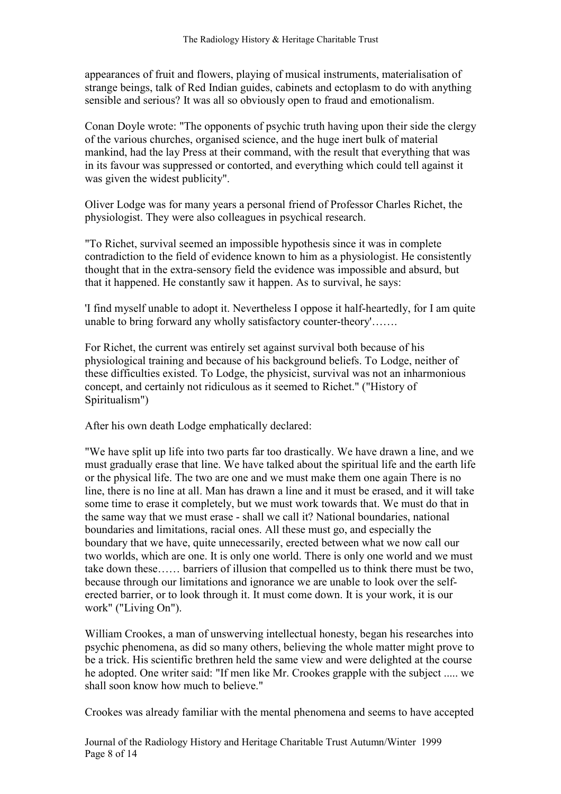appearances of fruit and flowers, playing of musical instruments, materialisation of strange beings, talk of Red Indian guides, cabinets and ectoplasm to do with anything sensible and serious? It was all so obviously open to fraud and emotionalism.

Conan Doyle wrote: "The opponents of psychic truth having upon their side the clergy of the various churches, organised science, and the huge inert bulk of material mankind, had the lay Press at their command, with the result that everything that was in its favour was suppressed or contorted, and everything which could tell against it was given the widest publicity".

Oliver Lodge was for many years a personal friend of Professor Charles Richet, the physiologist. They were also colleagues in psychical research.

"To Richet, survival seemed an impossible hypothesis since it was in complete contradiction to the field of evidence known to him as a physiologist. He consistently thought that in the extra-sensory field the evidence was impossible and absurd, but that it happened. He constantly saw it happen. As to survival, he says:

'I find myself unable to adopt it. Nevertheless I oppose it half-heartedly, for I am quite unable to bring forward any wholly satisfactory counter-theory'…….

For Richet, the current was entirely set against survival both because of his physiological training and because of his background beliefs. To Lodge, neither of these difficulties existed. To Lodge, the physicist, survival was not an inharmonious concept, and certainly not ridiculous as it seemed to Richet." ("History of Spiritualism")

After his own death Lodge emphatically declared:

"We have split up life into two parts far too drastically. We have drawn a line, and we must gradually erase that line. We have talked about the spiritual life and the earth life or the physical life. The two are one and we must make them one again There is no line, there is no line at all. Man has drawn a line and it must be erased, and it will take some time to erase it completely, but we must work towards that. We must do that in the same way that we must erase - shall we call it? National boundaries, national boundaries and limitations, racial ones. All these must go, and especially the boundary that we have, quite unnecessarily, erected between what we now call our two worlds, which are one. It is only one world. There is only one world and we must take down these…… barriers of illusion that compelled us to think there must be two, because through our limitations and ignorance we are unable to look over the selferected barrier, or to look through it. It must come down. It is your work, it is our work" ("Living On").

William Crookes, a man of unswerving intellectual honesty, began his researches into psychic phenomena, as did so many others, believing the whole matter might prove to be a trick. His scientific brethren held the same view and were delighted at the course he adopted. One writer said: "If men like Mr. Crookes grapple with the subject ..... we shall soon know how much to believe."

Crookes was already familiar with the mental phenomena and seems to have accepted

Journal of the Radiology History and Heritage Charitable Trust Autumn/Winter 1999 Page 8 of 14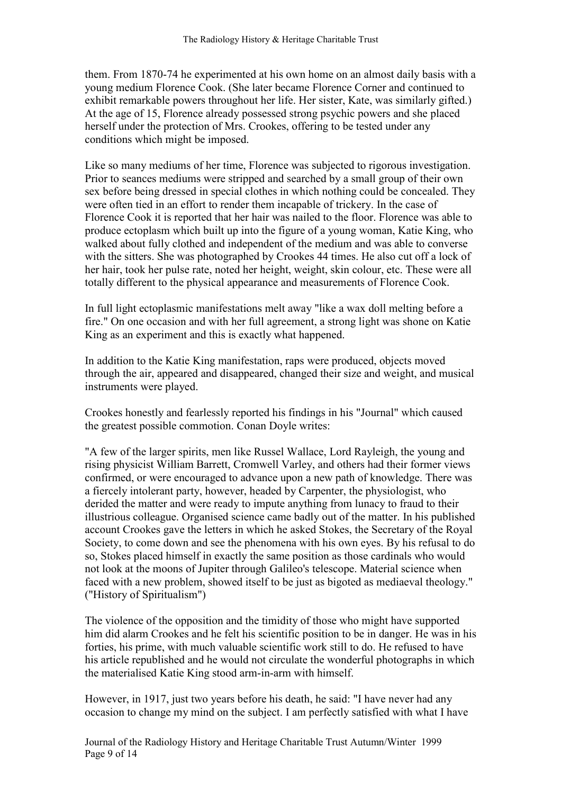them. From 1870-74 he experimented at his own home on an almost daily basis with a young medium Florence Cook. (She later became Florence Corner and continued to exhibit remarkable powers throughout her life. Her sister, Kate, was similarly gifted.) At the age of 15, Florence already possessed strong psychic powers and she placed herself under the protection of Mrs. Crookes, offering to be tested under any conditions which might be imposed.

Like so many mediums of her time, Florence was subjected to rigorous investigation. Prior to seances mediums were stripped and searched by a small group of their own sex before being dressed in special clothes in which nothing could be concealed. They were often tied in an effort to render them incapable of trickery. In the case of Florence Cook it is reported that her hair was nailed to the floor. Florence was able to produce ectoplasm which built up into the figure of a young woman, Katie King, who walked about fully clothed and independent of the medium and was able to converse with the sitters. She was photographed by Crookes 44 times. He also cut off a lock of her hair, took her pulse rate, noted her height, weight, skin colour, etc. These were all totally different to the physical appearance and measurements of Florence Cook.

In full light ectoplasmic manifestations melt away "like a wax doll melting before a fire." On one occasion and with her full agreement, a strong light was shone on Katie King as an experiment and this is exactly what happened.

In addition to the Katie King manifestation, raps were produced, objects moved through the air, appeared and disappeared, changed their size and weight, and musical instruments were played.

Crookes honestly and fearlessly reported his findings in his "Journal" which caused the greatest possible commotion. Conan Doyle writes:

"A few of the larger spirits, men like Russel Wallace, Lord Rayleigh, the young and rising physicist William Barrett, Cromwell Varley, and others had their former views confirmed, or were encouraged to advance upon a new path of knowledge. There was a fiercely intolerant party, however, headed by Carpenter, the physiologist, who derided the matter and were ready to impute anything from lunacy to fraud to their illustrious colleague. Organised science came badly out of the matter. In his published account Crookes gave the letters in which he asked Stokes, the Secretary of the Royal Society, to come down and see the phenomena with his own eyes. By his refusal to do so, Stokes placed himself in exactly the same position as those cardinals who would not look at the moons of Jupiter through Galileo's telescope. Material science when faced with a new problem, showed itself to be just as bigoted as mediaeval theology." ("History of Spiritualism")

The violence of the opposition and the timidity of those who might have supported him did alarm Crookes and he felt his scientific position to be in danger. He was in his forties, his prime, with much valuable scientific work still to do. He refused to have his article republished and he would not circulate the wonderful photographs in which the materialised Katie King stood arm-in-arm with himself.

However, in 1917, just two years before his death, he said: "I have never had any occasion to change my mind on the subject. I am perfectly satisfied with what I have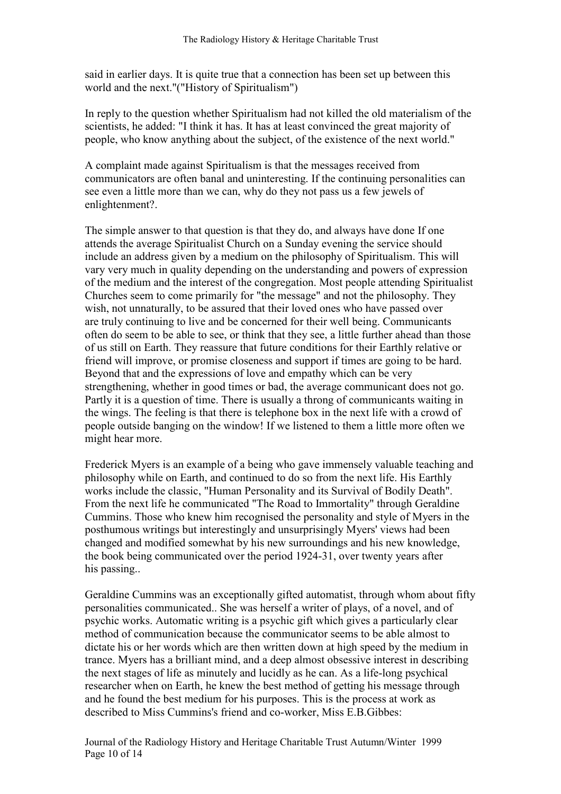said in earlier days. It is quite true that a connection has been set up between this world and the next."("History of Spiritualism")

In reply to the question whether Spiritualism had not killed the old materialism of the scientists, he added: "I think it has. It has at least convinced the great majority of people, who know anything about the subject, of the existence of the next world."

A complaint made against Spiritualism is that the messages received from communicators are often banal and uninteresting. If the continuing personalities can see even a little more than we can, why do they not pass us a few jewels of enlightenment?.

The simple answer to that question is that they do, and always have done If one attends the average Spiritualist Church on a Sunday evening the service should include an address given by a medium on the philosophy of Spiritualism. This will vary very much in quality depending on the understanding and powers of expression of the medium and the interest of the congregation. Most people attending Spiritualist Churches seem to come primarily for "the message" and not the philosophy. They wish, not unnaturally, to be assured that their loved ones who have passed over are truly continuing to live and be concerned for their well being. Communicants often do seem to be able to see, or think that they see, a little further ahead than those of us still on Earth. They reassure that future conditions for their Earthly relative or friend will improve, or promise closeness and support if times are going to be hard. Beyond that and the expressions of love and empathy which can be very strengthening, whether in good times or bad, the average communicant does not go. Partly it is a question of time. There is usually a throng of communicants waiting in the wings. The feeling is that there is telephone box in the next life with a crowd of people outside banging on the window! If we listened to them a little more often we might hear more.

Frederick Myers is an example of a being who gave immensely valuable teaching and philosophy while on Earth, and continued to do so from the next life. His Earthly works include the classic, "Human Personality and its Survival of Bodily Death". From the next life he communicated "The Road to Immortality" through Geraldine Cummins. Those who knew him recognised the personality and style of Myers in the posthumous writings but interestingly and unsurprisingly Myers' views had been changed and modified somewhat by his new surroundings and his new knowledge, the book being communicated over the period 1924-31, over twenty years after his passing..

Geraldine Cummins was an exceptionally gifted automatist, through whom about fifty personalities communicated.. She was herself a writer of plays, of a novel, and of psychic works. Automatic writing is a psychic gift which gives a particularly clear method of communication because the communicator seems to be able almost to dictate his or her words which are then written down at high speed by the medium in trance. Myers has a brilliant mind, and a deep almost obsessive interest in describing the next stages of life as minutely and lucidly as he can. As a life-long psychical researcher when on Earth, he knew the best method of getting his message through and he found the best medium for his purposes. This is the process at work as described to Miss Cummins's friend and co-worker, Miss E.B.Gibbes:

Journal of the Radiology History and Heritage Charitable Trust Autumn/Winter 1999 Page 10 of 14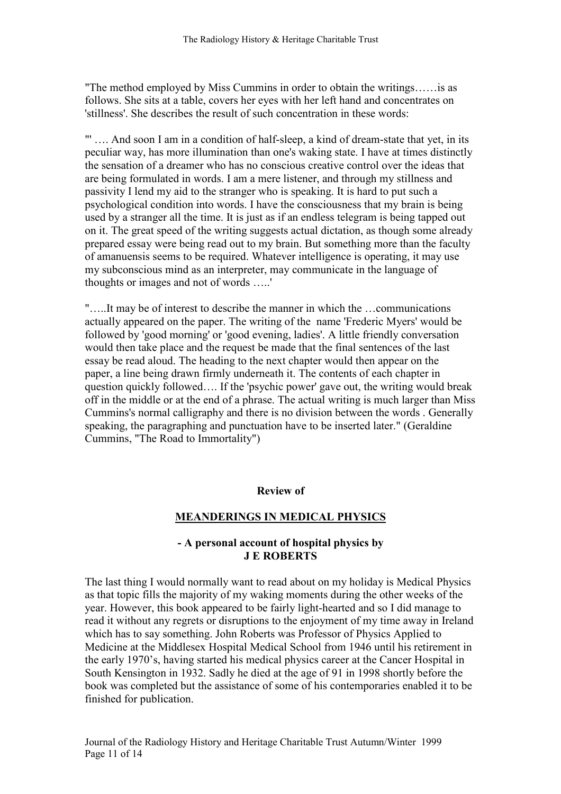"The method employed by Miss Cummins in order to obtain the writings……is as follows. She sits at a table, covers her eyes with her left hand and concentrates on 'stillness'. She describes the result of such concentration in these words:

"' …. And soon I am in a condition of half-sleep, a kind of dream-state that yet, in its peculiar way, has more illumination than one's waking state. I have at times distinctly the sensation of a dreamer who has no conscious creative control over the ideas that are being formulated in words. I am a mere listener, and through my stillness and passivity I lend my aid to the stranger who is speaking. It is hard to put such a psychological condition into words. I have the consciousness that my brain is being used by a stranger all the time. It is just as if an endless telegram is being tapped out on it. The great speed of the writing suggests actual dictation, as though some already prepared essay were being read out to my brain. But something more than the faculty of amanuensis seems to be required. Whatever intelligence is operating, it may use my subconscious mind as an interpreter, may communicate in the language of thoughts or images and not of words …..'

"…..It may be of interest to describe the manner in which the …communications actually appeared on the paper. The writing of the name 'Frederic Myers' would be followed by 'good morning' or 'good evening, ladies'. A little friendly conversation would then take place and the request be made that the final sentences of the last essay be read aloud. The heading to the next chapter would then appear on the paper, a line being drawn firmly underneath it. The contents of each chapter in question quickly followed…. If the 'psychic power' gave out, the writing would break off in the middle or at the end of a phrase. The actual writing is much larger than Miss Cummins's normal calligraphy and there is no division between the words . Generally speaking, the paragraphing and punctuation have to be inserted later." (Geraldine Cummins, "The Road to Immortality")

#### Review of

#### MEA DERI GS I MEDICAL PHYSICS

#### - A personal account of hospital physics by J E ROBERTS

The last thing I would normally want to read about on my holiday is Medical Physics as that topic fills the majority of my waking moments during the other weeks of the year. However, this book appeared to be fairly light-hearted and so I did manage to read it without any regrets or disruptions to the enjoyment of my time away in Ireland which has to say something. John Roberts was Professor of Physics Applied to Medicine at the Middlesex Hospital Medical School from 1946 until his retirement in the early 1970's, having started his medical physics career at the Cancer Hospital in South Kensington in 1932. Sadly he died at the age of 91 in 1998 shortly before the book was completed but the assistance of some of his contemporaries enabled it to be finished for publication.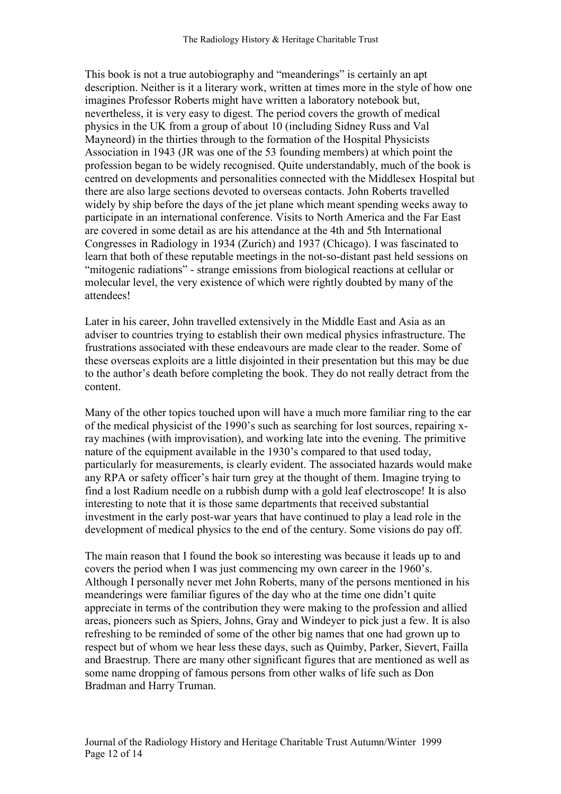This book is not a true autobiography and "meanderings" is certainly an apt description. Neither is it a literary work, written at times more in the style of how one imagines Professor Roberts might have written a laboratory notebook but, nevertheless, it is very easy to digest. The period covers the growth of medical physics in the UK from a group of about 10 (including Sidney Russ and Val Mayneord) in the thirties through to the formation of the Hospital Physicists Association in 1943 (JR was one of the 53 founding members) at which point the profession began to be widely recognised. Quite understandably, much of the book is centred on developments and personalities connected with the Middlesex Hospital but there are also large sections devoted to overseas contacts. John Roberts travelled widely by ship before the days of the jet plane which meant spending weeks away to participate in an international conference. Visits to North America and the Far East are covered in some detail as are his attendance at the 4th and 5th International Congresses in Radiology in 1934 (Zurich) and 1937 (Chicago). I was fascinated to learn that both of these reputable meetings in the not-so-distant past held sessions on "mitogenic radiations" - strange emissions from biological reactions at cellular or molecular level, the very existence of which were rightly doubted by many of the attendees!

Later in his career, John travelled extensively in the Middle East and Asia as an adviser to countries trying to establish their own medical physics infrastructure. The frustrations associated with these endeavours are made clear to the reader. Some of these overseas exploits are a little disjointed in their presentation but this may be due to the author's death before completing the book. They do not really detract from the content.

Many of the other topics touched upon will have a much more familiar ring to the ear of the medical physicist of the 1990's such as searching for lost sources, repairing xray machines (with improvisation), and working late into the evening. The primitive nature of the equipment available in the 1930's compared to that used today, particularly for measurements, is clearly evident. The associated hazards would make any RPA or safety officer's hair turn grey at the thought of them. Imagine trying to find a lost Radium needle on a rubbish dump with a gold leaf electroscope! It is also interesting to note that it is those same departments that received substantial investment in the early post-war years that have continued to play a lead role in the development of medical physics to the end of the century. Some visions do pay off.

The main reason that I found the book so interesting was because it leads up to and covers the period when I was just commencing my own career in the 1960's. Although I personally never met John Roberts, many of the persons mentioned in his meanderings were familiar figures of the day who at the time one didn't quite appreciate in terms of the contribution they were making to the profession and allied areas, pioneers such as Spiers, Johns, Gray and Windeyer to pick just a few. It is also refreshing to be reminded of some of the other big names that one had grown up to respect but of whom we hear less these days, such as Quimby, Parker, Sievert, Failla and Braestrup. There are many other significant figures that are mentioned as well as some name dropping of famous persons from other walks of life such as Don Bradman and Harry Truman.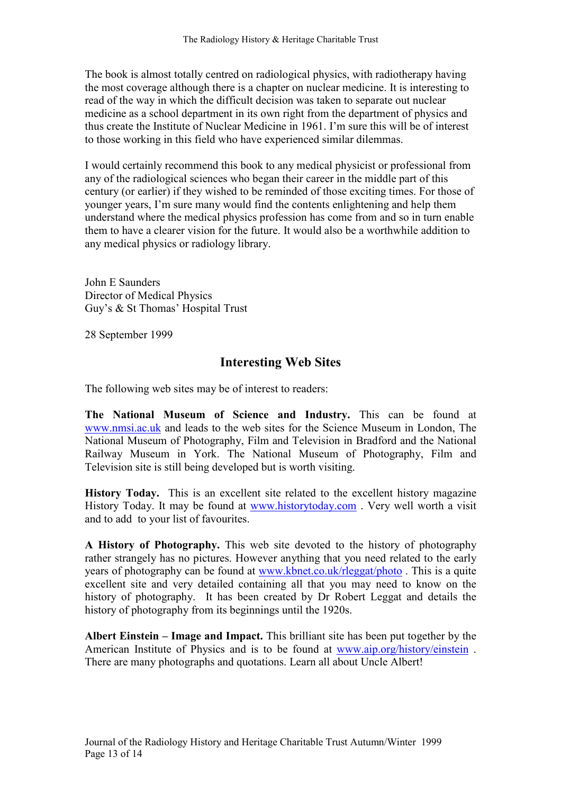The book is almost totally centred on radiological physics, with radiotherapy having the most coverage although there is a chapter on nuclear medicine. It is interesting to read of the way in which the difficult decision was taken to separate out nuclear medicine as a school department in its own right from the department of physics and thus create the Institute of Nuclear Medicine in 1961. I'm sure this will be of interest to those working in this field who have experienced similar dilemmas.

I would certainly recommend this book to any medical physicist or professional from any of the radiological sciences who began their career in the middle part of this century (or earlier) if they wished to be reminded of those exciting times. For those of younger years, I'm sure many would find the contents enlightening and help them understand where the medical physics profession has come from and so in turn enable them to have a clearer vision for the future. It would also be a worthwhile addition to any medical physics or radiology library.

John E Saunders Director of Medical Physics Guy's & St Thomas' Hospital Trust

28 September 1999

## Interesting Web Sites

The following web sites may be of interest to readers:

The National Museum of Science and Industry. This can be found at www.nmsi.ac.uk and leads to the web sites for the Science Museum in London, The National Museum of Photography, Film and Television in Bradford and the National Railway Museum in York. The National Museum of Photography, Film and Television site is still being developed but is worth visiting.

History Today. This is an excellent site related to the excellent history magazine History Today. It may be found at www.historytoday.com . Very well worth a visit and to add to your list of favourites.

A History of Photography. This web site devoted to the history of photography rather strangely has no pictures. However anything that you need related to the early years of photography can be found at www.kbnet.co.uk/rleggat/photo . This is a quite excellent site and very detailed containing all that you may need to know on the history of photography. It has been created by Dr Robert Leggat and details the history of photography from its beginnings until the 1920s.

Albert Einstein – Image and Impact. This brilliant site has been put together by the American Institute of Physics and is to be found at www.aip.org/history/einstein . There are many photographs and quotations. Learn all about Uncle Albert!